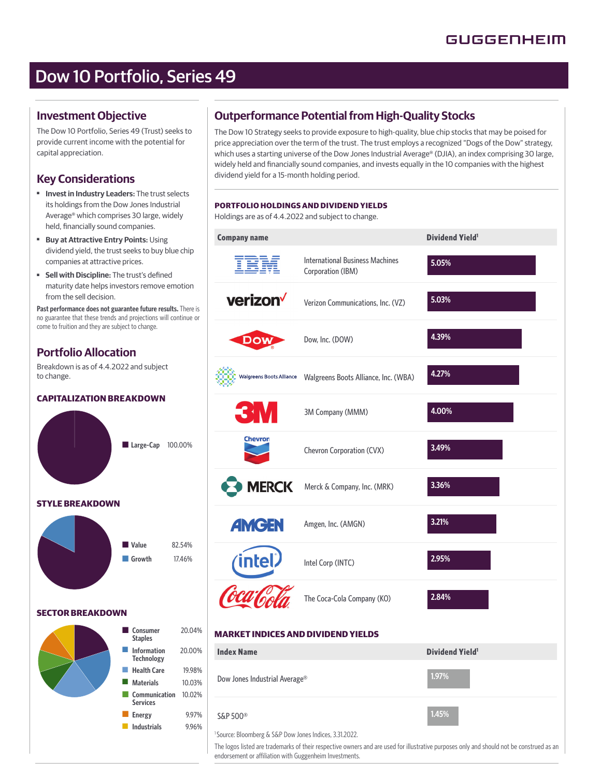# Dow 10 Portfolio, Series 49

### **Investment Objective**

The Dow 10 Portfolio, Series 49 (Trust) seeks to provide current income with the potential for capital appreciation.

## **Key Considerations**

- ■ **Invest in Industry Leaders:** The trust selects its holdings from the Dow Jones Industrial Average® which comprises 30 large, widely held, financially sound companies.
- ■ **Buy at Attractive Entry Points:** Using dividend yield, the trust seeks to buy blue chip companies at attractive prices.
- **Sell with Discipline:** The trust's defined maturity date helps investors remove emotion from the sell decision.

**Past performance does not guarantee future results.** There is no guarantee that these trends and projections will continue or come to fruition and they are subject to change.

### **Portfolio Allocation**

Breakdown is as of 4.4.2022 and subject to change.

### **CAPITALIZATION BREAKDOWN**

■ Large-Cap 100.00% **STYLE BREAKDOWN**



#### **SECTOR BREAKDOWN**



## **Outperformance Potential from High-Quality Stocks**

The Dow 10 Strategy seeks to provide exposure to high-quality, blue chip stocks that may be poised for price appreciation over the term of the trust. The trust employs a recognized "Dogs of the Dow" strategy, which uses a starting universe of the Dow Jones Industrial Average® (DJIA), an index comprising 30 large, widely held and financially sound companies, and invests equally in the 10 companies with the highest dividend yield for a 15-month holding period.

| Holdings are as of 4.4.2022 and subject to change. | PORTFOLIO HOLDINGS AND DIVIDEND YIELDS                      |                        |
|----------------------------------------------------|-------------------------------------------------------------|------------------------|
| <b>Company name</b>                                |                                                             | <b>Dividend Yield1</b> |
| IEM                                                | <b>International Business Machines</b><br>Corporation (IBM) | 5.05%                  |
| verizon <sup>V</sup>                               | Verizon Communications, Inc. (VZ)                           | 5.03%                  |
| DOV                                                | Dow, Inc. (DOW)                                             | 4.39%                  |
| Walgreens Boots Alliance                           | Walgreens Boots Alliance, Inc. (WBA)                        | 4.27%                  |
| <b>3M</b>                                          | 3M Company (MMM)                                            | 4.00%                  |
| Chevron                                            | Chevron Corporation (CVX)                                   | 3.49%                  |
| <b>MERCK</b>                                       | Merck & Company, Inc. (MRK)                                 | 3.36%                  |
| <b>AMGEN</b>                                       | Amgen, Inc. (AMGN)                                          | 3.21%                  |
|                                                    | Intel Corp (INTC)                                           | 2.95%                  |
|                                                    | The Coca-Cola Company (KO)                                  | 2.84%                  |
| <b>MARKET INDICES AND DIVIDEND YIELDS</b>          |                                                             |                        |
| <b>Index Name</b>                                  |                                                             | <b>Dividend Yield1</b> |
| Dow Jones Industrial Average®                      |                                                             | 1.97%                  |
| <b>®OOS GOS</b>                                    |                                                             | 1.45%                  |

<sup>1</sup> Source: Bloomberg & S&P Dow Jones Indices, 3.31.2022.

The logos listed are trademarks of their respective owners and are used for illustrative purposes only and should not be construed as an endorsement or affiliation with Guggenheim Investments.